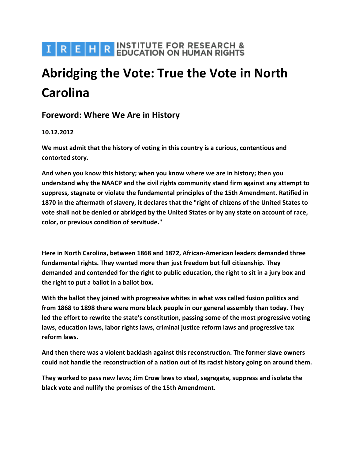# I R E H R INSTITUTE FOR RESEARCH &

# **Abridging the Vote: True the Vote in North Carolina**

# **Foreword: Where We Are in History**

## **10.12.2012**

**We must admit that the history of voting in this country is a curious, contentious and contorted story.**

**And when you know this history; when you know where we are in history; then you understand why the NAACP and the civil rights community stand firm against any attempt to suppress, stagnate or violate the fundamental principles of the 15th Amendment. Ratified in 1870 in the aftermath of slavery, it declares that the "right of citizens of the United States to vote shall not be denied or abridged by the United States or by any state on account of race, color, or previous condition of servitude."**

**Here in North Carolina, between 1868 and 1872, African-American leaders demanded three fundamental rights. They wanted more than just freedom but full citizenship. They demanded and contended for the right to public education, the right to sit in a jury box and the right to put a ballot in a ballot box.**

**With the ballot they joined with progressive whites in what was called fusion politics and from 1868 to 1898 there were more black people in our general assembly than today. They led the effort to rewrite the state's constitution, passing some of the most progressive voting laws, education laws, labor rights laws, criminal justice reform laws and progressive tax reform laws.**

**And then there was a violent backlash against this reconstruction. The former slave owners could not handle the reconstruction of a nation out of its racist history going on around them.**

**They worked to pass new laws; Jim Crow laws to steal, segregate, suppress and isolate the black vote and nullify the promises of the 15th Amendment.**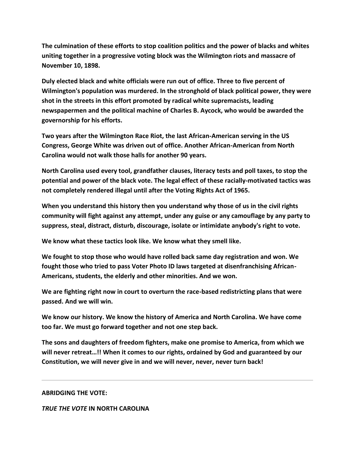**The culmination of these efforts to stop coalition politics and the power of blacks and whites uniting together in a progressive voting block was the Wilmington riots and massacre of November 10, 1898.**

**Duly elected black and white officials were run out of office. Three to five percent of Wilmington's population was murdered. In the stronghold of black political power, they were shot in the streets in this effort promoted by radical white supremacists, leading newspapermen and the political machine of Charles B. Aycock, who would be awarded the governorship for his efforts.**

**Two years after the Wilmington Race Riot, the last African-American serving in the US Congress, George White was driven out of office. Another African-American from North Carolina would not walk those halls for another 90 years.**

**North Carolina used every tool, grandfather clauses, literacy tests and poll taxes, to stop the potential and power of the black vote. The legal effect of these racially-motivated tactics was not completely rendered illegal until after the Voting Rights Act of 1965.**

**When you understand this history then you understand why those of us in the civil rights community will fight against any attempt, under any guise or any camouflage by any party to suppress, steal, distract, disturb, discourage, isolate or intimidate anybody's right to vote.**

**We know what these tactics look like. We know what they smell like.**

**We fought to stop those who would have rolled back same day registration and won. We fought those who tried to pass Voter Photo ID laws targeted at disenfranchising African-Americans, students, the elderly and other minorities. And we won.**

**We are fighting right now in court to overturn the race-based redistricting plans that were passed. And we will win.**

**We know our history. We know the history of America and North Carolina. We have come too far. We must go forward together and not one step back.**

**The sons and daughters of freedom fighters, make one promise to America, from which we will never retreat…!! When it comes to our rights, ordained by God and guaranteed by our Constitution, we will never give in and we will never, never, never turn back!**

#### **ABRIDGING THE VOTE:**

*TRUE THE VOTE* **IN NORTH CAROLINA**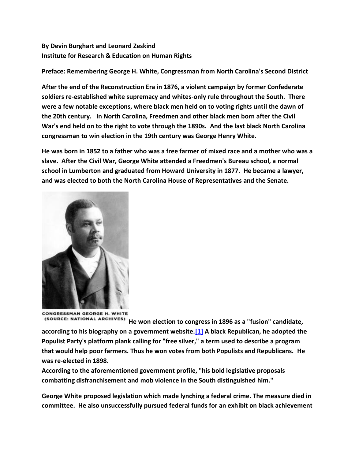## **By Devin Burghart and Leonard Zeskind Institute for Research & Education on Human Rights**

**Preface: Remembering George H. White, Congressman from North Carolina's Second District**

**After the end of the Reconstruction Era in 1876, a violent campaign by former Confederate soldiers re-established white supremacy and whites-only rule throughout the South. There were a few notable exceptions, where black men held on to voting rights until the dawn of the 20th century. In North Carolina, Freedmen and other black men born after the Civil War's end held on to the right to vote through the 1890s. And the last black North Carolina congressman to win election in the 19th century was George Henry White.**

**He was born in 1852 to a father who was a free farmer of mixed race and a mother who was a slave. After the Civil War, George White attended a Freedmen's Bureau school, a normal school in Lumberton and graduated from Howard University in 1877. He became a lawyer, and was elected to both the North Carolina House of Representatives and the Senate.**



CONGRESSMAN GEORGE H. WHITE

**He won election to congress in 1896 as a "fusion" candidate, according to his biography on a government website[.\[1\]](http://www.irehr.org/issue-areas/tea-party-nationalism/tea-party-news-and-analysis/item/436-abridging-the-vote#one) A black Republican, he adopted the Populist Party's platform plank calling for "free silver," a term used to describe a program that would help poor farmers. Thus he won votes from both Populists and Republicans. He was re-elected in 1898.**

**According to the aforementioned government profile, "his bold legislative proposals combatting disfranchisement and mob violence in the South distinguished him."**

**George White proposed legislation which made lynching a federal crime. The measure died in committee. He also unsuccessfully pursued federal funds for an exhibit on black achievement**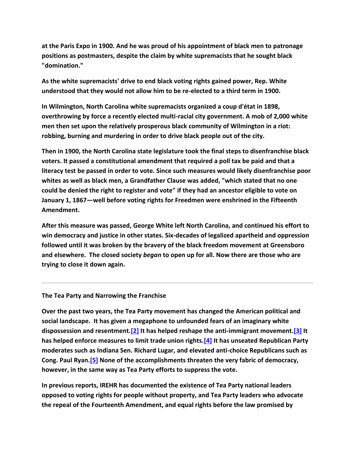**at the Paris Expo in 1900. And he was proud of his appointment of black men to patronage positions as postmasters, despite the claim by white supremacists that he sought black "domination."**

**As the white supremacists' drive to end black voting rights gained power, Rep. White understood that they would not allow him to be re-elected to a third term in 1900.**

**In Wilmington, North Carolina white supremacists organized a coup d'état in 1898, overthrowing by force a recently elected multi-racial city government. A mob of 2,000 white men then set upon the relatively prosperous black community of Wilmington in a riot: robbing, burning and murdering in order to drive black people out of the city.**

**Then in 1900, the North Carolina state legislature took the final steps to disenfranchise black voters. It passed a constitutional amendment that required a poll tax be paid and that a literacy test be passed in order to vote. Since such measures would likely disenfranchise poor whites as well as black men, a Grandfather Clause was added, "which stated that no one could be denied the right to register and vote" if they had an ancestor eligible to vote on January 1, 1867—well before voting rights for Freedmen were enshrined in the Fifteenth Amendment.**

**After this measure was passed, George White left North Carolina, and continued his effort to win democracy and justice in other states. Six-decades of legalized apartheid and oppression followed until it was broken by the bravery of the black freedom movement at Greensboro and elsewhere. The closed society** *began* **to open up for all. Now there are those who are trying to close it down again.**

**The Tea Party and Narrowing the Franchise**

**Over the past two years, the Tea Party movement has changed the American political and social landscape. It has given a megaphone to unfounded fears of an imaginary white dispossession and resentment[.\[2\]](http://www.irehr.org/issue-areas/tea-party-nationalism/tea-party-news-and-analysis/item/436-abridging-the-vote#two) It has helped reshape the anti-immigrant movement[.\[3\]](http://www.irehr.org/one) It has helped enforce measures to limit trade union rights[.\[4\]](http://www.irehr.org/issue-areas/tea-party-nationalism/tea-party-news-and-analysis/item/436-abridging-the-vote#two) It has unseated Republican Party moderates such as Indiana Sen. Richard Lugar, and elevated anti-choice Republicans such as Cong. Paul Ryan[.\[5\]](http://www.irehr.org/issue-areas/tea-party-nationalism/tea-party-news-and-analysis/item/436-abridging-the-vote#five) None of the accomplishments threaten the very fabric of democracy, however, in the same way as Tea Party efforts to suppress the vote.**

**In previous reports, IREHR has documented the existence of Tea Party national leaders opposed to voting rights for people without property, and Tea Party leaders who advocate the repeal of the Fourteenth Amendment, and equal rights before the law promised by**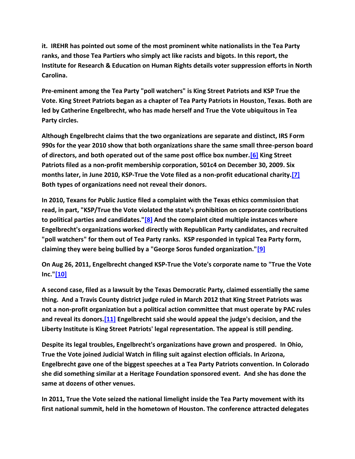**it. IREHR has pointed out some of the most prominent white nationalists in the Tea Party ranks, and those Tea Partiers who simply act like racists and bigots. In this report, the Institute for Research & Education on Human Rights details voter suppression efforts in North Carolina.**

**Pre-eminent among the Tea Party "poll watchers" is King Street Patriots and KSP True the Vote. King Street Patriots began as a chapter of Tea Party Patriots in Houston, Texas. Both are led by Catherine Engelbrecht, who has made herself and True the Vote ubiquitous in Tea Party circles.**

**Although Engelbrecht claims that the two organizations are separate and distinct, IRS Form 990s for the year 2010 show that both organizations share the same small three-person board of directors, and both operated out of the same post office box number[.\[6\]](http://www.irehr.org/issue-areas/tea-party-nationalism/tea-party-news-and-analysis/item/436-abridging-the-vote#six) King Street Patriots filed as a non-profit membership corporation, 501c4 on December 30, 2009. Six months later, in June 2010, KSP-True the Vote filed as a non-profit educational charity[.\[7\]](http://www.irehr.org/issue-areas/tea-party-nationalism/tea-party-news-and-analysis/item/436-abridging-the-vote#seven) Both types of organizations need not reveal their donors.**

**In 2010, Texans for Public Justice filed a complaint with the Texas ethics commission that read, in part, "KSP/True the Vote violated the state's prohibition on corporate contributions to political parties and candidates.["\[8\]](http://www.irehr.org/issue-areas/tea-party-nationalism/tea-party-news-and-analysis/item/436-abridging-the-vote#eight) And the complaint cited multiple instances where Engelbrecht's organizations worked directly with Republican Party candidates, and recruited "poll watchers" for them out of Tea Party ranks. KSP responded in typical Tea Party form, claiming they were being bullied by a "George Soros funded organization.["\[9\]](http://www.irehr.org/issue-areas/tea-party-nationalism/tea-party-news-and-analysis/item/436-abridging-the-vote#nine)**

**On Aug 26, 2011, Engelbrecht changed KSP-True the Vote's corporate name to "True the Vote Inc.["\[10\]](http://www.irehr.org/issue-areas/tea-party-nationalism/tea-party-news-and-analysis/item/436-abridging-the-vote#ten)**

**A second case, filed as a lawsuit by the Texas Democratic Party, claimed essentially the same thing. And a Travis County district judge ruled in March 2012 that King Street Patriots was not a non-profit organization but a political action committee that must operate by PAC rules and reveal its donors[.\[11\]](http://www.irehr.org/issue-areas/tea-party-nationalism/tea-party-news-and-analysis/item/436-abridging-the-vote#eleven) Engelbrecht said she would appeal the judge's decision, and the Liberty Institute is King Street Patriots' legal representation. The appeal is still pending.**

**Despite its legal troubles, Engelbrecht's organizations have grown and prospered. In Ohio, True the Vote joined Judicial Watch in filing suit against election officials. In Arizona, Engelbrecht gave one of the biggest speeches at a Tea Party Patriots convention. In Colorado she did something similar at a Heritage Foundation sponsored event. And she has done the same at dozens of other venues.**

**In 2011, True the Vote seized the national limelight inside the Tea Party movement with its first national summit, held in the hometown of Houston. The conference attracted delegates**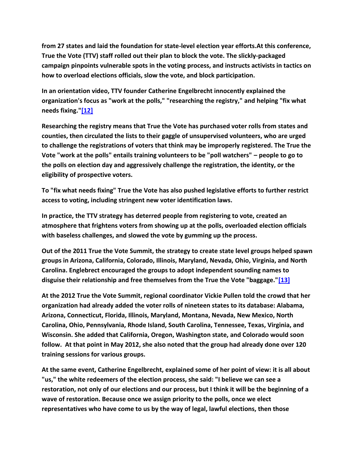**from 27 states and laid the foundation for state-level election year efforts.At this conference, True the Vote (TTV) staff rolled out their plan to block the vote. The slickly-packaged campaign pinpoints vulnerable spots in the voting process, and instructs activists in tactics on how to overload elections officials, slow the vote, and block participation.**

**In an orientation video, TTV founder Catherine Engelbrecht innocently explained the organization's focus as "work at the polls," "researching the registry," and helping "fix what needs fixing.["\[12\]](http://www.irehr.org/issue-areas/tea-party-nationalism/tea-party-news-and-analysis/item/436-abridging-the-vote#twelve)**

**Researching the registry means that True the Vote has purchased voter rolls from states and counties, then circulated the lists to their gaggle of unsupervised volunteers, who are urged to challenge the registrations of voters that think may be improperly registered. The True the Vote "work at the polls" entails training volunteers to be "poll watchers" – people to go to the polls on election day and aggressively challenge the registration, the identity, or the eligibility of prospective voters.**

**To "fix what needs fixing" True the Vote has also pushed legislative efforts to further restrict access to voting, including stringent new voter identification laws.**

**In practice, the TTV strategy has deterred people from registering to vote, created an atmosphere that frightens voters from showing up at the polls, overloaded election officials with baseless challenges, and slowed the vote by gumming up the process.**

**Out of the 2011 True the Vote Summit, the strategy to create state level groups helped spawn groups in Arizona, California, Colorado, Illinois, Maryland, Nevada, Ohio, Virginia, and North Carolina. Englebrect encouraged the groups to adopt independent sounding names to disguise their relationship and free themselves from the True the Vote "baggage.["\[13\]](http://www.irehr.org/issue-areas/tea-party-nationalism/tea-party-news-and-analysis/item/436-abridging-the-vote#thirteen)**

**At the 2012 True the Vote Summit, regional coordinator Vickie Pullen told the crowd that her organization had already added the voter rolls of nineteen states to its database: Alabama, Arizona, Connecticut, Florida, Illinois, Maryland, Montana, Nevada, New Mexico, North Carolina, Ohio, Pennsylvania, Rhode Island, South Carolina, Tennessee, Texas, Virginia, and Wisconsin. She added that California, Oregon, Washington state, and Colorado would soon follow. At that point in May 2012, she also noted that the group had already done over 120 training sessions for various groups.**

**At the same event, Catherine Engelbrecht, explained some of her point of view: it is all about "us," the white redeemers of the election process, she said: "I believe we can see a restoration, not only of our elections and our process, but I think it will be the beginning of a wave of restoration. Because once we assign priority to the polls, once we elect representatives who have come to us by the way of legal, lawful elections, then those**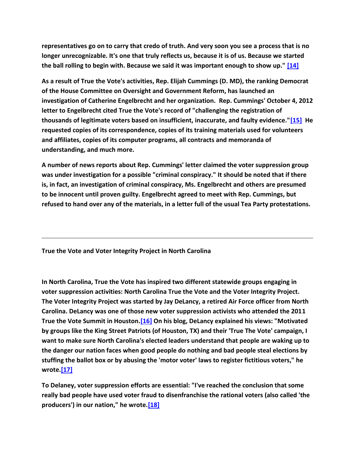**representatives go on to carry that credo of truth. And very soon you see a process that is no longer unrecognizable. It's one that truly reflects us, because it is of us. Because we started the ball rolling to begin with. Because we said it was important enough to show up." [\[14\]](http://www.irehr.org/issue-areas/tea-party-nationalism/tea-party-news-and-analysis/item/436-abridging-the-vote#fourteen)**

**As a result of True the Vote's activities, Rep. Elijah Cummings (D. MD), the ranking Democrat of the House Committee on Oversight and Government Reform, has launched an investigation of Catherine Engelbrecht and her organization. Rep. Cummings' October 4, 2012 letter to Engelbrecht cited True the Vote's record of "challenging the registration of thousands of legitimate voters based on insufficient, inaccurate, and faulty evidence.["\[15\]](http://www.irehr.org/issue-areas/tea-party-nationalism/tea-party-news-and-analysis/item/436-abridging-the-vote#fifteen) He requested copies of its correspondence, copies of its training materials used for volunteers and affiliates, copies of its computer programs, all contracts and memoranda of understanding, and much more.**

**A number of news reports about Rep. Cummings' letter claimed the voter suppression group was under investigation for a possible "criminal conspiracy." It should be noted that if there is, in fact, an investigation of criminal conspiracy, Ms. Engelbrecht and others are presumed to be innocent until proven guilty. Engelbrecht agreed to meet with Rep. Cummings, but refused to hand over any of the materials, in a letter full of the usual Tea Party protestations.**

**True the Vote and Voter Integrity Project in North Carolina**

**In North Carolina, True the Vote has inspired two different statewide groups engaging in voter suppression activities: North Carolina True the Vote and the Voter Integrity Project. The Voter Integrity Project was started by Jay DeLancy, a retired Air Force officer from North Carolina. DeLancy was one of those new voter suppression activists who attended the 2011 True the Vote Summit in Houston[.\[16\]](http://www.irehr.org/issue-areas/tea-party-nationalism/tea-party-news-and-analysis/item/436-abridging-the-vote#sixteen) On his blog, DeLancy explained his views: "Motivated by groups like the King Street Patriots (of Houston, TX) and their 'True The Vote' campaign, I want to make sure North Carolina's elected leaders understand that people are waking up to the danger our nation faces when good people do nothing and bad people steal elections by stuffing the ballot box or by abusing the 'motor voter' laws to register fictitious voters," he wrote[.\[17\]](http://www.irehr.org/issue-areas/tea-party-nationalism/tea-party-news-and-analysis/item/436-abridging-the-vote#seventeen)**

**To Delaney, voter suppression efforts are essential: "I've reached the conclusion that some really bad people have used voter fraud to disenfranchise the rational voters (also called 'the producers') in our nation," he wrote[.\[18\]](http://www.irehr.org/issue-areas/tea-party-nationalism/tea-party-news-and-analysis/item/436-abridging-the-vote#eighteen)**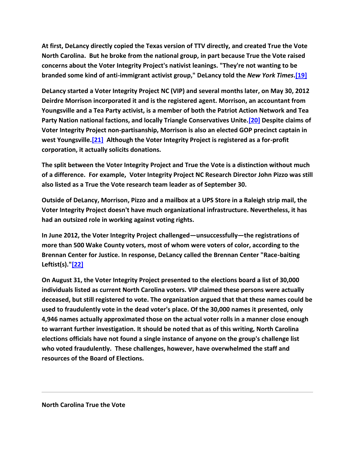**At first, DeLancy directly copied the Texas version of TTV directly, and created True the Vote North Carolina. But he broke from the national group, in part because True the Vote raised concerns about the Voter Integrity Project's nativist leanings. "They're not wanting to be branded some kind of anti-immigrant activist group," DeLancy told the** *New York Times***[.\[19\]](http://www.irehr.org/issue-areas/tea-party-nationalism/tea-party-news-and-analysis/item/436-abridging-the-vote#nineteen)**

**DeLancy started a Voter Integrity Project NC (VIP) and several months later, on May 30, 2012 Deirdre Morrison incorporated it and is the registered agent. Morrison, an accountant from Youngsville and a Tea Party activist, is a member of both the Patriot Action Network and Tea Party Nation national factions, and locally Triangle Conservatives Unite[.\[20\]](http://www.irehr.org/issue-areas/tea-party-nationalism/tea-party-news-and-analysis/item/436-abridging-the-vote#twenty) Despite claims of Voter Integrity Project non-partisanship, Morrison is also an elected GOP precinct captain in west Youngsville[.\[21\]](http://www.irehr.org/issue-areas/tea-party-nationalism/tea-party-news-and-analysis/item/436-abridging-the-vote#twentyone) Although the Voter Integrity Project is registered as a for-profit corporation, it actually solicits donations.**

**The split between the Voter Integrity Project and True the Vote is a distinction without much of a difference. For example, Voter Integrity Project NC Research Director John Pizzo was still also listed as a True the Vote research team leader as of September 30.**

**Outside of DeLancy, Morrison, Pizzo and a mailbox at a UPS Store in a Raleigh strip mail, the Voter Integrity Project doesn't have much organizational infrastructure. Nevertheless, it has had an outsized role in working against voting rights.**

**In June 2012, the Voter Integrity Project challenged—unsuccessfully—the registrations of more than 500 Wake County voters, most of whom were voters of color, according to the Brennan Center for Justice. In response, DeLancy called the Brennan Center "Race-baiting Leftist(s).["\[22\]](http://www.irehr.org/issue-areas/tea-party-nationalism/tea-party-news-and-analysis/item/436-abridging-the-vote#twentytwo)**

**On August 31, the Voter Integrity Project presented to the elections board a list of 30,000 individuals listed as current North Carolina voters. VIP claimed these persons were actually deceased, but still registered to vote. The organization argued that that these names could be used to fraudulently vote in the dead voter's place. Of the 30,000 names it presented, only 4,946 names actually approximated those on the actual voter rolls in a manner close enough to warrant further investigation. It should be noted that as of this writing, North Carolina elections officials have not found a single instance of anyone on the group's challenge list who voted fraudulently. These challenges, however, have overwhelmed the staff and resources of the Board of Elections.**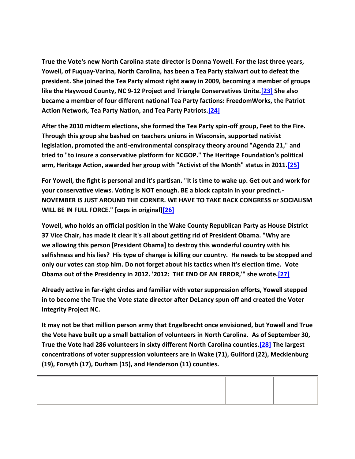**True the Vote's new North Carolina state director is Donna Yowell. For the last three years, Yowell, of Fuquay-Varina, North Carolina, has been a Tea Party stalwart out to defeat the president. She joined the Tea Party almost right away in 2009, becoming a member of groups like the Haywood County, NC 9-12 Project and Triangle Conservatives Unite[.\[23\]](http://www.irehr.org/issue-areas/tea-party-nationalism/tea-party-news-and-analysis/item/436-abridging-the-vote#twentythree) She also became a member of four different national Tea Party factions: FreedomWorks, the Patriot Action Network, Tea Party Nation, and Tea Party Patriots[.\[24\]](http://www.irehr.org/issue-areas/tea-party-nationalism/tea-party-news-and-analysis/item/436-abridging-the-vote#twentyfour)**

**After the 2010 midterm elections, she formed the Tea Party spin-off group, Feet to the Fire. Through this group she bashed on teachers unions in Wisconsin, supported nativist legislation, promoted the anti-environmental conspiracy theory around "Agenda 21," and tried to "to insure a conservative platform for NCGOP." The Heritage Foundation's political arm, Heritage Action, awarded her group with "Activist of the Month" status in 2011[.\[25\]](http://www.irehr.org/issue-areas/tea-party-nationalism/tea-party-news-and-analysis/item/436-abridging-the-vote#twentyfive)**

**For Yowell, the fight is personal and it's partisan. "It is time to wake up. Get out and work for your conservative views. Voting is NOT enough. BE a block captain in your precinct.- NOVEMBER IS JUST AROUND THE CORNER. WE HAVE TO TAKE BACK CONGRESS or SOCIALISM WILL BE IN FULL FORCE." [caps in original[\]\[26\]](http://www.irehr.org/issue-areas/tea-party-nationalism/tea-party-news-and-analysis/item/436-abridging-the-vote#twentysix)**

**Yowell, who holds an official position in the Wake County Republican Party as House District 37 Vice Chair, has made it clear it's all about getting rid of President Obama. "Why are we allowing this person [President Obama] to destroy this wonderful country with his selfishness and his lies? His type of change is killing our country. He needs to be stopped and only our votes can stop him. Do not forget about his tactics when it's election time. Vote Obama out of the Presidency in 2012. '2012: THE END OF AN ERROR,'" she wrote[.\[27\]](http://www.irehr.org/issue-areas/tea-party-nationalism/tea-party-news-and-analysis/item/436-abridging-the-vote#twentyseven)**

**Already active in far-right circles and familiar with voter suppression efforts, Yowell stepped in to become the True the Vote state director after DeLancy spun off and created the Voter Integrity Project NC.**

**It may not be that million person army that Engelbrecht once envisioned, but Yowell and True the Vote have built up a small battalion of volunteers in North Carolina. As of September 30, True the Vote had 286 volunteers in sixty different North Carolina counties[.\[28\]](http://www.irehr.org/issue-areas/tea-party-nationalism/tea-party-news-and-analysis/item/436-abridging-the-vote#twentyeight) The largest concentrations of voter suppression volunteers are in Wake (71), Guilford (22), Mecklenburg (19), Forsyth (17), Durham (15), and Henderson (11) counties.**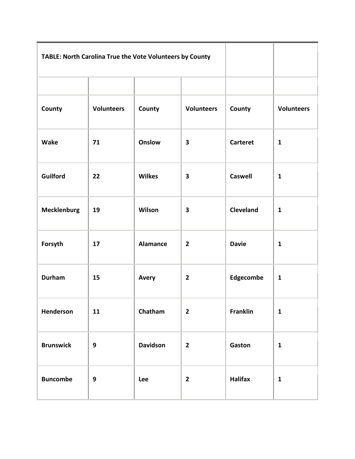| TABLE: North Carolina True the Vote Volunteers by County |                   |                 |                         |                  |                   |
|----------------------------------------------------------|-------------------|-----------------|-------------------------|------------------|-------------------|
|                                                          |                   |                 |                         |                  |                   |
| County                                                   | <b>Volunteers</b> | County          | <b>Volunteers</b>       | County           | <b>Volunteers</b> |
| <b>Wake</b>                                              | 71                | <b>Onslow</b>   | $\overline{\mathbf{3}}$ | <b>Carteret</b>  | $\mathbf{1}$      |
| <b>Guilford</b>                                          | 22                | <b>Wilkes</b>   | $\overline{\mathbf{3}}$ | <b>Caswell</b>   | $\mathbf{1}$      |
| <b>Mecklenburg</b>                                       | 19                | Wilson          | 3                       | <b>Cleveland</b> | $\mathbf{1}$      |
| Forsyth                                                  | 17                | <b>Alamance</b> | $\mathbf{2}$            | <b>Davie</b>     | $\mathbf{1}$      |
| Durham                                                   | 15                | <b>Avery</b>    | $\mathbf{2}$            | Edgecombe        | $\mathbf{1}$      |
| Henderson                                                | 11                | Chatham         | $\overline{2}$          | Franklin         | $\mathbf{1}$      |
| <b>Brunswick</b>                                         | $\boldsymbol{9}$  | <b>Davidson</b> | $\mathbf{2}$            | Gaston           | $\mathbf{1}$      |
| <b>Buncombe</b>                                          | 9                 | Lee             | $\overline{2}$          | <b>Halifax</b>   | $\mathbf{1}$      |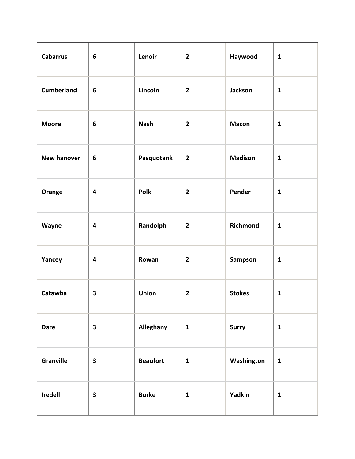| <b>Cabarrus</b>    | $\bf 6$                 | Lenoir          | $\overline{2}$ | Haywood        | $\mathbf{1}$ |
|--------------------|-------------------------|-----------------|----------------|----------------|--------------|
| <b>Cumberland</b>  | $\boldsymbol{6}$        | Lincoln         | $\overline{2}$ | Jackson        | $\mathbf{1}$ |
| <b>Moore</b>       | 6                       | <b>Nash</b>     | $\overline{2}$ | <b>Macon</b>   | $\mathbf{1}$ |
| <b>New hanover</b> | $\bf 6$                 | Pasquotank      | $\mathbf{2}$   | <b>Madison</b> | $\mathbf{1}$ |
| Orange             | $\overline{\mathbf{4}}$ | Polk            | $\mathbf{2}$   | Pender         | $\mathbf{1}$ |
| Wayne              | $\overline{\mathbf{4}}$ | Randolph        | $\overline{2}$ | Richmond       | $\mathbf{1}$ |
| Yancey             | $\overline{\mathbf{4}}$ | Rowan           | $\mathbf{2}$   | Sampson        | $\mathbf{1}$ |
| Catawba            | $\overline{\mathbf{3}}$ | <b>Union</b>    | $\mathbf{2}$   | <b>Stokes</b>  | $\mathbf{1}$ |
| <b>Dare</b>        | $\overline{\mathbf{3}}$ | Alleghany       | $\mathbf{1}$   | Surry          | $\mathbf{1}$ |
| <b>Granville</b>   | $\overline{\mathbf{3}}$ | <b>Beaufort</b> | $\mathbf{1}$   | Washington     | $\mathbf{1}$ |
| Iredell            | $\overline{\mathbf{3}}$ | <b>Burke</b>    | $\mathbf{1}$   | Yadkin         | $\mathbf{1}$ |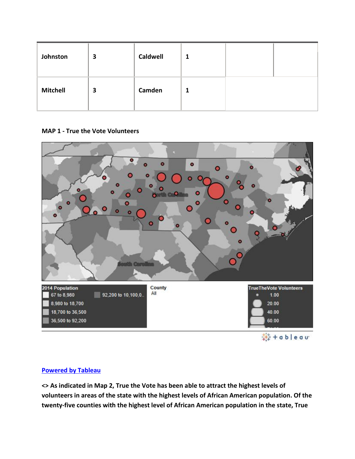| Johnston        | 3 | <b>Caldwell</b> | 1 |  |
|-----------------|---|-----------------|---|--|
| <b>Mitchell</b> | 3 | Camden          | 1 |  |

### **MAP 1 - True the Vote Volunteers**



### **[Powered by Tableau](http://www.tableausoftware.com/public?ref=http://public.tableausoftware.com/shared/72KRG2JS6)**

**<> As indicated in Map 2, True the Vote has been able to attract the highest levels of volunteers in areas of the state with the highest levels of African American population. Of the twenty-five counties with the highest level of African American population in the state, True**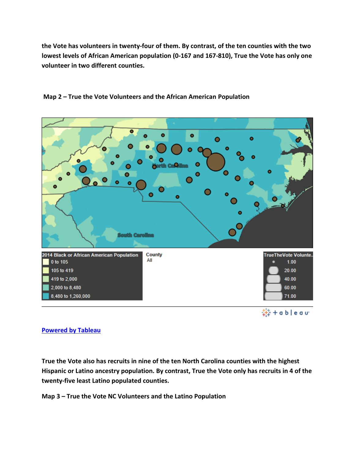**the Vote has volunteers in twenty-four of them. By contrast, of the ten counties with the two lowest levels of African American population (0-167 and 167-810), True the Vote has only one volunteer in two different counties.**



## **Map 2 – True the Vote Volunteers and the African American Population**

# **[Powered by Tableau](http://www.tableausoftware.com/public?ref=http://public.tableausoftware.com/shared/NFZHCBYY4)**

**True the Vote also has recruits in nine of the ten North Carolina counties with the highest Hispanic or Latino ancestry population. By contrast, True the Vote only has recruits in 4 of the twenty-five least Latino populated counties.**

**Map 3 – True the Vote NC Volunteers and the Latino Population**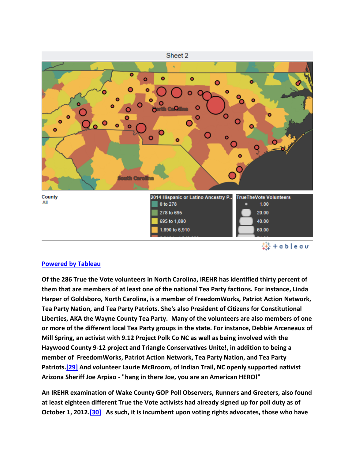

#### **[Powered by Tableau](http://www.tableausoftware.com/public?ref=http://public.tableausoftware.com/shared/NZ8NN9P24)**

**Of the 286 True the Vote volunteers in North Carolina, IREHR has identified thirty percent of them that are members of at least one of the national Tea Party factions. For instance, Linda Harper of Goldsboro, North Carolina, is a member of FreedomWorks, Patriot Action Network, Tea Party Nation, and Tea Party Patriots. She's also President of Citizens for Constitutional Liberties, AKA the Wayne County Tea Party. Many of the volunteers are also members of one or more of the different local Tea Party groups in the state. For instance, Debbie Arceneaux of Mill Spring, an activist with 9.12 Project Polk Co NC as well as being involved with the Haywood County 9-12 project and Triangle Conservatives Unite!, in addition to being a member of FreedomWorks, Patriot Action Network, Tea Party Nation, and Tea Party Patriots[.\[29\]](http://www.irehr.org/issue-areas/tea-party-nationalism/tea-party-news-and-analysis/item/436-abridging-the-vote#twentynine) And volunteer Laurie McBroom, of Indian Trail, NC openly supported nativist Arizona Sheriff Joe Arpiao - "hang in there Joe, you are an American HERO!"**

**An IREHR examination of Wake County GOP Poll Observers, Runners and Greeters, also found at least eighteen different True the Vote activists had already signed up for poll duty as of October 1, 2012[.\[30\]](http://www.irehr.org/issue-areas/tea-party-nationalism/tea-party-news-and-analysis/item/436-abridging-the-vote#thirty) As such, it is incumbent upon voting rights advocates, those who have**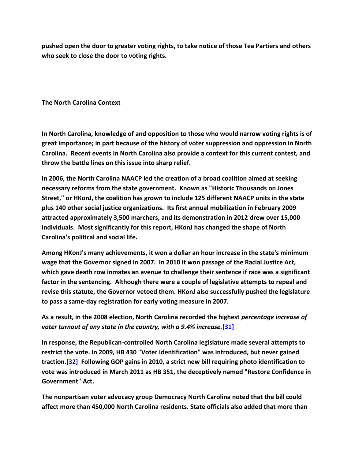**pushed open the door to greater voting rights, to take notice of those Tea Partiers and others who seek to close the door to voting rights.**

**The North Carolina Context** 

**In North Carolina, knowledge of and opposition to those who would narrow voting rights is of great importance; in part because of the history of voter suppression and oppression in North Carolina. Recent events in North Carolina also provide a context for this current contest, and throw the battle lines on this issue into sharp relief.**

**In 2006, the North Carolina NAACP led the creation of a broad coalition aimed at seeking necessary reforms from the state government. Known as "Historic Thousands on Jones Street," or HKonJ, the coalition has grown to include 125 different NAACP units in the state plus 140 other social justice organizations. Its first annual mobilization in February 2009 attracted approximately 3,500 marchers, and its demonstration in 2012 drew over 15,000 individuals. Most significantly for this report, HKonJ has changed the shape of North Carolina's political and social life.**

**Among HKonJ's many achievements, it won a dollar an hour increase in the state's minimum wage that the Governor signed in 2007. In 2010 it won passage of the Racial Justice Act, which gave death row inmates an avenue to challenge their sentence if race was a significant factor in the sentencing. Although there were a couple of legislative attempts to repeal and revise this statute, the Governor vetoed them. HKonJ also successfully pushed the legislature to pass a same-day registration for early voting measure in 2007.**

**As a result, in the 2008 election, North Carolina recorded the highest** *percentage increase of voter turnout of any state in the country, with a 9.4% increase.***[\[31\]](http://www.irehr.org/issue-areas/tea-party-nationalism/tea-party-news-and-analysis/item/436-abridging-the-vote#thirtyone)**

**In response, the Republican-controlled North Carolina legislature made several attempts to restrict the vote. In 2009, HB 430 "Voter Identification" was introduced, but never gained traction[.\[32\]](http://www.irehr.org/issue-areas/tea-party-nationalism/tea-party-news-and-analysis/item/436-abridging-the-vote#thirtytwo) Following GOP gains in 2010, a strict new bill requiring photo identification to vote was introduced in March 2011 as HB 351, the deceptively named "Restore Confidence in Government" Act.**

**The nonpartisan voter advocacy group Democracy North Carolina noted that the bill could affect more than 450,000 North Carolina residents. State officials also added that more than**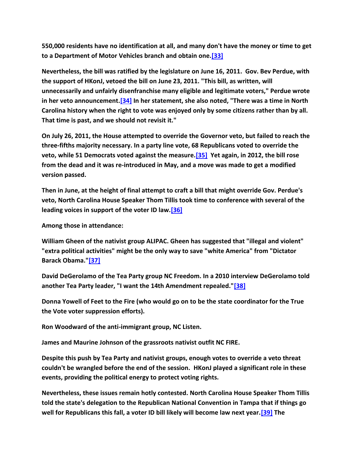**550,000 residents have no identification at all, and many don't have the money or time to get to a Department of Motor Vehicles branch and obtain one[.\[33\]](http://www.irehr.org/issue-areas/tea-party-nationalism/tea-party-news-and-analysis/item/436-abridging-the-vote#thirtythree)**

**Nevertheless, the bill was ratified by the legislature on June 16, 2011. Gov. Bev Perdue, with the support of HKonJ, vetoed the bill on June 23, 2011. "This bill, as written, will unnecessarily and unfairly disenfranchise many eligible and legitimate voters," Perdue wrote in her veto announcement[.\[34\]](http://www.irehr.org/issue-areas/tea-party-nationalism/tea-party-news-and-analysis/item/436-abridging-the-vote#thirtyfour) In her statement, she also noted, "There was a time in North Carolina history when the right to vote was enjoyed only by some citizens rather than by all. That time is past, and we should not revisit it."**

**On July 26, 2011, the House attempted to override the Governor veto, but failed to reach the three-fifths majority necessary. In a party line vote, 68 Republicans voted to override the veto, while 51 Democrats voted against the measure[.\[35\]](http://www.irehr.org/issue-areas/tea-party-nationalism/tea-party-news-and-analysis/item/436-abridging-the-vote#thirtyfive) Yet again, in 2012, the bill rose from the dead and it was re-introduced in May, and a move was made to get a modified version passed.**

**Then in June, at the height of final attempt to craft a bill that might override Gov. Perdue's veto, North Carolina House Speaker Thom Tillis took time to conference with several of the leading voices in support of the voter ID law[.\[36\]](http://www.irehr.org/issue-areas/tea-party-nationalism/tea-party-news-and-analysis/item/436-abridging-the-vote#thirtyfive)**

**Among those in attendance:** 

**William Gheen of the nativist group ALIPAC. Gheen has suggested that "illegal and violent" "extra political activities" might be the only way to save "white America" from "Dictator Barack Obama.["\[37\]](http://www.irehr.org/issue-areas/tea-party-nationalism/tea-party-news-and-analysis/item/436-abridging-the-vote#thirtyseven)**

**David DeGerolamo of the Tea Party group NC Freedom. In a 2010 interview DeGerolamo told another Tea Party leader, "I want the 14th Amendment repealed.["\[38\]](http://www.irehr.org/issue-areas/tea-party-nationalism/tea-party-news-and-analysis/item/436-abridging-the-vote#thirtyeight)**

**Donna Yowell of Feet to the Fire (who would go on to be the state coordinator for the True the Vote voter suppression efforts).**

**Ron Woodward of the anti-immigrant group, NC Listen.**

**James and Maurine Johnson of the grassroots nativist outfit NC FIRE.**

**Despite this push by Tea Party and nativist groups, enough votes to override a veto threat couldn't be wrangled before the end of the session. HKonJ played a significant role in these events, providing the political energy to protect voting rights.**

**Nevertheless, these issues remain hotly contested. North Carolina House Speaker Thom Tillis told the state's delegation to the Republican National Convention in Tampa that if things go well for Republicans this fall, a voter ID bill likely will become law next year[.\[39\]](http://www.irehr.org/issue-areas/tea-party-nationalism/tea-party-news-and-analysis/item/436-abridging-the-vote#thirtynine) The**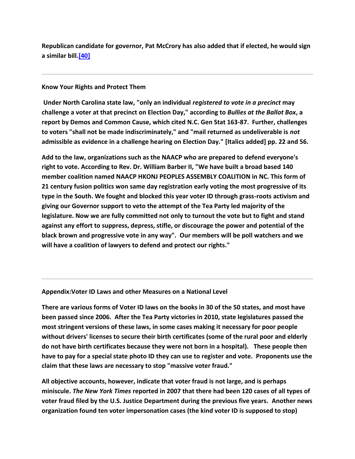**Republican candidate for governor, Pat McCrory has also added that if elected, he would sign a similar bill[.\[40\]](http://www.irehr.org/issue-areas/tea-party-nationalism/tea-party-news-and-analysis/item/436-abridging-the-vote#forty)**

#### **Know Your Rights and Protect Them**

**Under North Carolina state law, "only an individual** *registered to vote in a precinct* **may challenge a voter at that precinct on Election Day," according to** *Bullies at the Ballot Box***, a report by Demos and Common Cause, which cited N.C. Gen Stat 163-87. Further, challenges to voters "shall not be made indiscriminately," and "mail returned as undeliverable is** *not* **admissible as evidence in a challenge hearing on Election Day." [Italics added] pp. 22 and 56.**

**Add to the law, organizations such as the NAACP who are prepared to defend everyone's right to vote. According to Rev. Dr. William Barber II, "We have built a broad based 140 member coalition named NAACP HKONJ PEOPLES ASSEMBLY COALITION in NC. This form of 21 century fusion politics won same day registration early voting the most progressive of its type in the South. We fought and blocked this year voter ID through grass-roots activism and giving our Governor support to veto the attempt of the Tea Party led majority of the legislature. Now we are fully committed not only to turnout the vote but to fight and stand against any effort to suppress, depress, stifle, or discourage the power and potential of the black brown and progressive vote in any way". Our members will be poll watchers and we will have a coalition of lawyers to defend and protect our rights."**

#### **Appendix:Voter ID Laws and other Measures on a National Level**

**There are various forms of Voter ID laws on the books in 30 of the 50 states, and most have been passed since 2006. After the Tea Party victories in 2010, state legislatures passed the most stringent versions of these laws, in some cases making it necessary for poor people without drivers' licenses to secure their birth certificates (some of the rural poor and elderly do not have birth certificates because they were not born in a hospital). These people then have to pay for a special state photo ID they can use to register and vote. Proponents use the claim that these laws are necessary to stop "massive voter fraud."**

**All objective accounts, however, indicate that voter fraud is not large, and is perhaps miniscule.** *The New York Times* **reported in 2007 that there had been 120 cases of all types of voter fraud filed by the U.S. Justice Department during the previous five years. Another news organization found ten voter impersonation cases (the kind voter ID is supposed to stop)**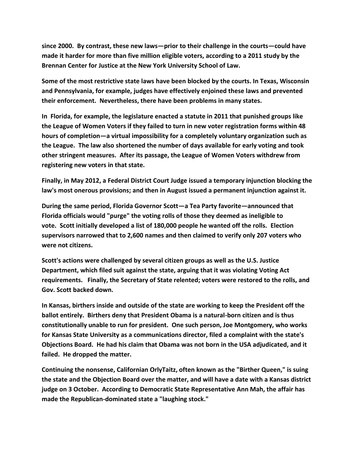**since 2000. By contrast, these new laws—prior to their challenge in the courts—could have made it harder for more than five million eligible voters, according to a 2011 study by the Brennan Center for Justice at the New York University School of Law.**

**Some of the most restrictive state laws have been blocked by the courts. In Texas, Wisconsin and Pennsylvania, for example, judges have effectively enjoined these laws and prevented their enforcement. Nevertheless, there have been problems in many states.**

**In Florida, for example, the legislature enacted a statute in 2011 that punished groups like the League of Women Voters if they failed to turn in new voter registration forms within 48 hours of completion—a virtual impossibility for a completely voluntary organization such as the League. The law also shortened the number of days available for early voting and took other stringent measures. After its passage, the League of Women Voters withdrew from registering new voters in that state.**

**Finally, in May 2012, a Federal District Court Judge issued a temporary injunction blocking the law's most onerous provisions; and then in August issued a permanent injunction against it.**

**During the same period, Florida Governor Scott—a Tea Party favorite—announced that Florida officials would "purge" the voting rolls of those they deemed as ineligible to vote. Scott initially developed a list of 180,000 people he wanted off the rolls. Election supervisors narrowed that to 2,600 names and then claimed to verify only 207 voters who were not citizens.**

**Scott's actions were challenged by several citizen groups as well as the U.S. Justice Department, which filed suit against the state, arguing that it was violating Voting Act requirements. Finally, the Secretary of State relented; voters were restored to the rolls, and Gov. Scott backed down.**

**In Kansas, birthers inside and outside of the state are working to keep the President off the ballot entirely. Birthers deny that President Obama is a natural-born citizen and is thus constitutionally unable to run for president. One such person, Joe Montgomery, who works for Kansas State University as a communications director, filed a complaint with the state's Objections Board. He had his claim that Obama was not born in the USA adjudicated, and it failed. He dropped the matter.**

**Continuing the nonsense, Californian OrlyTaitz, often known as the "Birther Queen," is suing the state and the Objection Board over the matter, and will have a date with a Kansas district judge on 3 October. According to Democratic State Representative Ann Mah, the affair has made the Republican-dominated state a "laughing stock."**